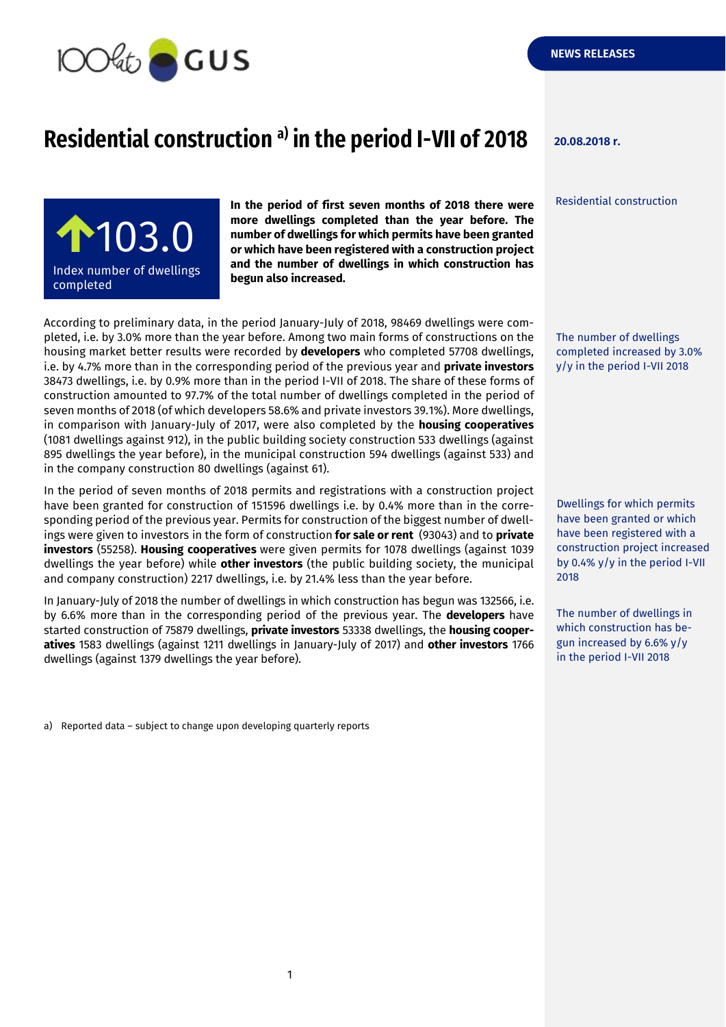

## **Residential construction 20.08.2018 r. a) in the period I-VII of 2018**

Residential construction

 $103.0$ Index number of dwellings completed adipiscing elitency and

**In the period of first seven months of 2018 there were more dwellings completed than the year before. The number of dwellings for which permits have been granted or which have been registered with a construction project and the number of dwellings in which construction has begun also increased.**

According to preliminary data, in the period January-July of 2018, 98469 dwellings were completed, i.e. by 3.0% more than the year before. Among two main forms of constructions on the housing market better results were recorded by **developers** who completed 57708 dwellings, i.e. by 4.7% more than in the corresponding period of the previous year and **private investors** 38473 dwellings, i.e. by 0.9% more than in the period I-VII of 2018. The share of these forms of construction amounted to 97.7% of the total number of dwellings completed in the period of seven months of 2018 (of which developers 58.6% and private investors 39.1%). More dwellings, in comparison with January-July of 2017, were also completed by the **housing cooperatives** (1081 dwellings against 912), in the public building society construction 533 dwellings (against 895 dwellings the year before), in the municipal construction 594 dwellings (against 533) and in the company construction 80 dwellings (against 61).

In the period of seven months of 2018 permits and registrations with a construction project have been granted for construction of 151596 dwellings i.e. by 0.4% more than in the corresponding period of the previous year. Permits for construction of the biggest number of dwellings were given to investors in the form of construction **for sale or rent** (93043) and to **private investors** (55258). **Housing cooperatives** were given permits for 1078 dwellings (against 1039 dwellings the year before) while **other investors** (the public building society, the municipal and company construction) 2217 dwellings, i.e. by 21.4% less than the year before.

In January-July of 2018 the number of dwellings in which construction has begun was 132566, i.e. by 6.6% more than in the corresponding period of the previous year. The **developers** have started construction of 75879 dwellings, **private investors** 53338 dwellings, the **housing cooperatives** 1583 dwellings (against 1211 dwellings in January-July of 2017) and **other investors** 1766 dwellings (against 1379 dwellings the year before).

a) Reported data – subject to change upon developing quarterly reports

The number of dwellings completed increased by 3.0% y/y in the period I-VII 2018

Dwellings for which permits have been granted or which have been registered with a construction project increased by 0.4% y/y in the period I-VII 2018

The number of dwellings in which construction has begun increased by 6.6% y/y in the period I-VII 2018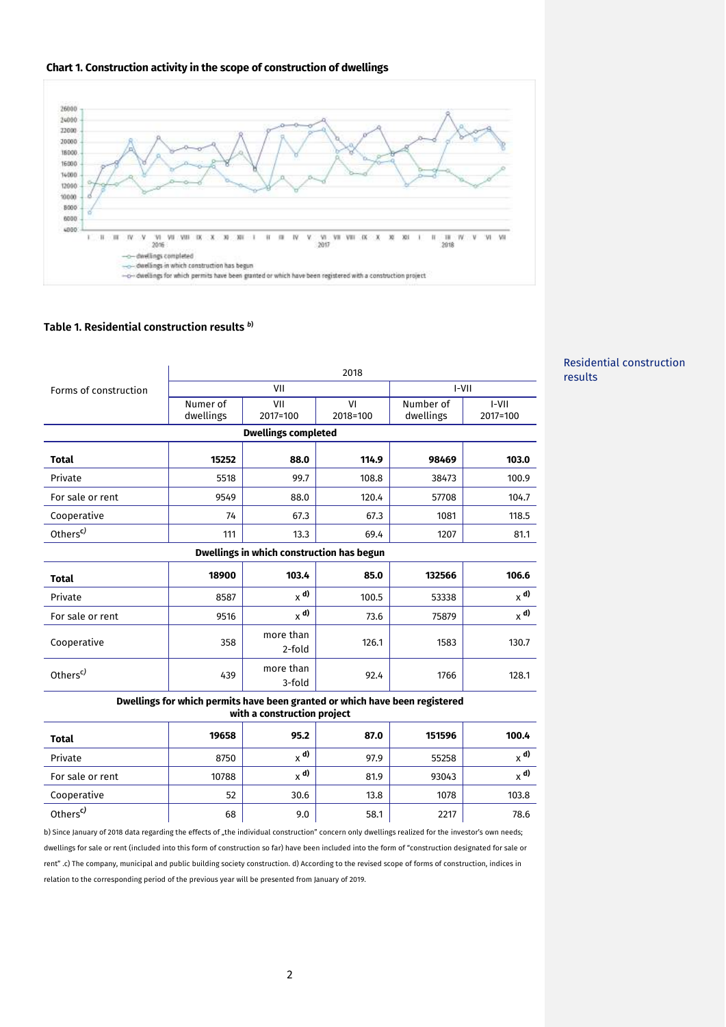



## **Table 1. Residential construction results** *<sup>b</sup>***)**

| I-VII<br>2017=100<br>103.0                |  |  |  |  |  |  |
|-------------------------------------------|--|--|--|--|--|--|
|                                           |  |  |  |  |  |  |
|                                           |  |  |  |  |  |  |
|                                           |  |  |  |  |  |  |
|                                           |  |  |  |  |  |  |
| 100.9                                     |  |  |  |  |  |  |
| 104.7                                     |  |  |  |  |  |  |
| 118.5                                     |  |  |  |  |  |  |
| 81.1                                      |  |  |  |  |  |  |
| Dwellings in which construction has begun |  |  |  |  |  |  |
| 106.6                                     |  |  |  |  |  |  |
| $x^{\mathbf{d}}$                          |  |  |  |  |  |  |
| $_{\chi}$ d)                              |  |  |  |  |  |  |
| 130.7                                     |  |  |  |  |  |  |
| 128.1                                     |  |  |  |  |  |  |
|                                           |  |  |  |  |  |  |

## Residential construction results

## **Dwellings for which permits have been granted or which have been registered with a construction project**

| <b>Total</b>         | 19658 | 95.2    | 87.0 | 151596 | 100.4        |
|----------------------|-------|---------|------|--------|--------------|
| Private              | 8750  | $_v$ d) | 97.9 | 55258  | $_{\chi}$ d) |
| For sale or rent     | 10788 | $_v$ d) | 81.9 | 93043  | $_{\chi}$ d) |
| Cooperative          | 52    | 30.6    | 13.8 | 1078   | 103.8        |
| Others <sup>c)</sup> | 68    | 9.0     | 58.1 | 2217   | 78.6         |

b) Since January of 2018 data regarding the effects of "the individual construction" concern only dwellings realized for the investor's own needs; dwellings for sale or rent (included into this form of construction so far) have been included into the form of "construction designated for sale or rent" .c) The company, municipal and public building society construction. d) According to the revised scope of forms of construction, indices in relation to the corresponding period of the previous year will be presented from January of 2019.